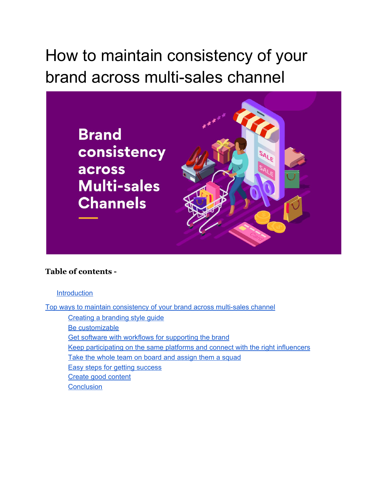# How to maintain consistency of your brand across multi-sales channel



#### **Table of contents -**

#### **[Introduction](#page-1-0)**

Top ways to maintain [consistency](#page-2-0) of your brand across multi-sales channel

Creating a [branding](#page-2-1) style guide Be [customizable](#page-3-0) Get software with workflows for [supporting](#page-3-1) the brand Keep [participating](#page-4-0) on the same platforms and connect with the right influencers Take the whole team on board and [assign](#page-5-0) them a squad Easy steps for getting [success](#page-5-1) Create good [content](#page-6-0) **[Conclusion](#page-6-1)**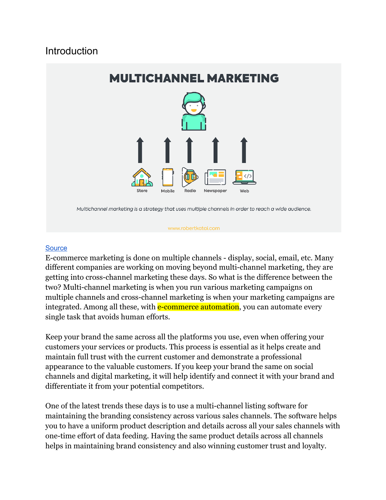# <span id="page-1-0"></span>Introduction



#### www.robertkatai.com

#### **[Source](https://robertkatai.com/multichannel-vs-omnichannel/)**

E-commerce marketing is done on multiple channels - display, social, email, etc. Many different companies are working on moving beyond multi-channel marketing, they are getting into cross-channel marketing these days. So what is the difference between the two? Multi-channel marketing is when you run various marketing campaigns on multiple channels and cross-channel marketing is when your marketing campaigns are integrated. Among all these, with **e-commerce automation**, you can automate every single task that avoids human efforts.

Keep your brand the same across all the platforms you use, even when offering your customers your services or products. This process is essential as it helps create and maintain full trust with the current customer and demonstrate a professional appearance to the valuable customers. If you keep your brand the same on social channels and digital marketing, it will help identify and connect it with your brand and differentiate it from your potential competitors.

One of the latest trends these days is to use a multi-channel listing software for maintaining the branding consistency across various sales channels. The software helps you to have a uniform product description and details across all your sales channels with one-time effort of data feeding. Having the same product details across all channels helps in maintaining brand consistency and also winning customer trust and loyalty.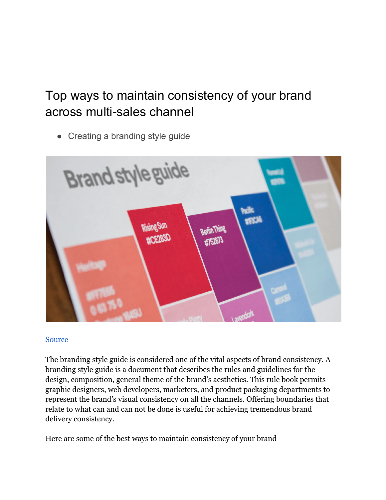# <span id="page-2-0"></span>Top ways to maintain consistency of your brand across multi-sales channel

<span id="page-2-1"></span>• Creating a branding style guide



#### [Source](https://99designs.com/blog/logo-branding/how-to-create-a-brand-style-guide/)

The branding style guide is considered one of the vital aspects of brand consistency. A branding style guide is a document that describes the rules and guidelines for the design, composition, general theme of the brand's aesthetics. This rule book permits graphic designers, web developers, marketers, and product packaging departments to represent the brand's visual consistency on all the channels. Offering boundaries that relate to what can and can not be done is useful for achieving tremendous brand delivery consistency.

Here are some of the best ways to maintain consistency of your brand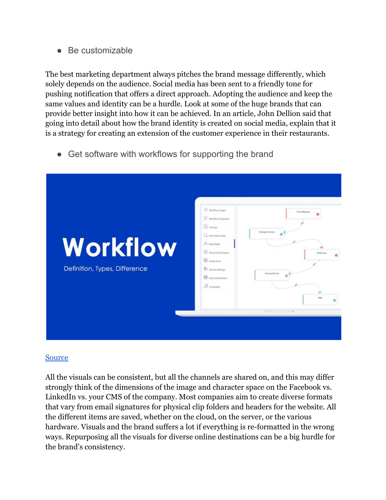<span id="page-3-0"></span>● Be customizable

The best marketing department always pitches the brand message differently, which solely depends on the audience. Social media has been sent to a friendly tone for pushing notification that offers a direct approach. Adopting the audience and keep the same values and identity can be a hurdle. Look at some of the huge brands that can provide better insight into how it can be achieved. In an article, John Dellion said that going into detail about how the brand identity is created on social media, explain that it is a strategy for creating an extension of the customer experience in their restaurants.

<span id="page-3-1"></span>● Get software with workflows for supporting the brand



#### [Source](https://www.cflowapps.com/workflow/workflow-management-software/)

All the visuals can be consistent, but all the channels are shared on, and this may differ strongly think of the dimensions of the image and character space on the Facebook vs. LinkedIn vs. your CMS of the company. Most companies aim to create diverse formats that vary from email signatures for physical clip folders and headers for the website. All the different items are saved, whether on the cloud, on the server, or the various hardware. Visuals and the brand suffers a lot if everything is re-formatted in the wrong ways. Repurposing all the visuals for diverse online destinations can be a big hurdle for the brand's consistency.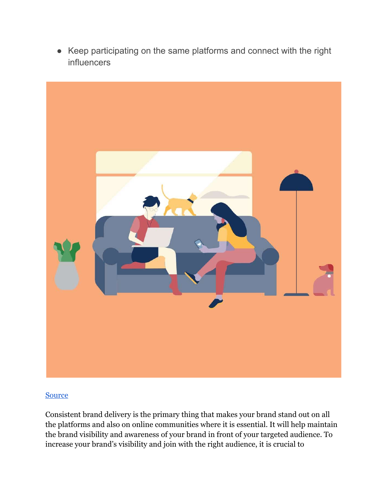<span id="page-4-0"></span>● Keep participating on the same platforms and connect with the right influencers



#### **[Source](https://blog.hootsuite.com/influencer-marketing-trends/)**

Consistent brand delivery is the primary thing that makes your brand stand out on all the platforms and also on online communities where it is essential. It will help maintain the brand visibility and awareness of your brand in front of your targeted audience. To increase your brand's visibility and join with the right audience, it is crucial to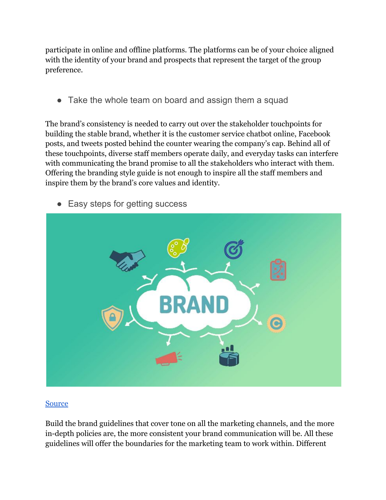participate in online and offline platforms. The platforms can be of your choice aligned with the identity of your brand and prospects that represent the target of the group preference.

<span id="page-5-0"></span>• Take the whole team on board and assign them a squad

The brand's consistency is needed to carry out over the stakeholder touchpoints for building the stable brand, whether it is the customer service chatbot online, Facebook posts, and tweets posted behind the counter wearing the company's cap. Behind all of these touchpoints, diverse staff members operate daily, and everyday tasks can interfere with communicating the brand promise to all the stakeholders who interact with them. Offering the branding style guide is not enough to inspire all the staff members and inspire them by the brand's core values and identity.



<span id="page-5-1"></span>• Easy steps for getting success

## [Source](https://medium.com/payumoney/6-simple-steps-for-a-successful-brand-building-process-d5f0dfb226f6)

Build the brand guidelines that cover tone on all the marketing channels, and the more in-depth policies are, the more consistent your brand communication will be. All these guidelines will offer the boundaries for the marketing team to work within. Different